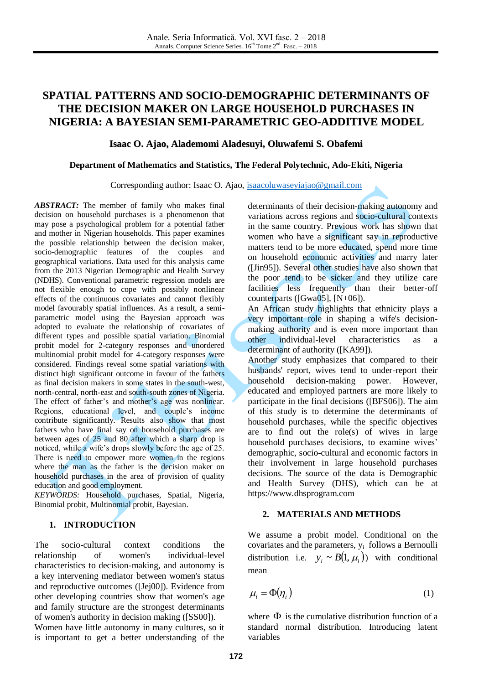# **SPATIAL PATTERNS AND SOCIO-DEMOGRAPHIC DETERMINANTS OF THE DECISION MAKER ON LARGE HOUSEHOLD PURCHASES IN NIGERIA: A BAYESIAN SEMI-PARAMETRIC GEO-ADDITIVE MODEL**

### **Isaac O. Ajao, Alademomi Aladesuyi, Oluwafemi S. Obafemi**

### **Department of Mathematics and Statistics, The Federal Polytechnic, Ado-Ekiti, Nigeria**

Corresponding author: Isaac O. Ajao, [isaacoluwaseyiajao@gmail.com](mailto:isaacoluwaseyiajao@gmail.com)

*ABSTRACT:* The member of family who makes final decision on household purchases is a phenomenon that may pose a psychological problem for a potential father and mother in Nigerian households. This paper examines the possible relationship between the decision maker, socio-demographic features of the couples and geographical variations. Data used for this analysis came from the 2013 Nigerian Demographic and Health Survey (NDHS). Conventional parametric regression models are not flexible enough to cope with possibly nonlinear effects of the continuous covariates and cannot flexibly model favourably spatial influences. As a result, a semiparametric model using the Bayesian approach was adopted to evaluate the relationship of covariates of different types and possible spatial variation. Binomial probit model for 2-category responses and unordered multinomial probit model for 4-category responses were considered. Findings reveal some spatial variations with distinct high significant outcome in favour of the fathers as final decision makers in some states in the south-west, north-central, north-east and south-south zones of Nigeria. The effect of father's and mother's age was nonlinear. Regions, educational level, and couple's income contribute significantly. Results also show that most fathers who have final say on household purchases are between ages of 25 and 80 after which a sharp drop is noticed, while a wife's drops slowly before the age of 25. There is need to empower more women in the regions where the man as the father is the decision maker on household purchases in the area of provision of quality education and good employment.

*KEYWORDS:* Household purchases, Spatial, Nigeria, Binomial probit, Multinomial probit, Bayesian.

# **1. INTRODUCTION**

The socio-cultural context conditions the relationship of women's individual-level characteristics to decision-making, and autonomy is a key intervening mediator between women's status and reproductive outcomes ([Jej00]). Evidence from other developing countries show that women's age and family structure are the strongest determinants of women's authority in decision making ([SS00]).

Women have little autonomy in many cultures, so it is important to get a better understanding of the

determinants of their decision-making autonomy and variations across regions and socio-cultural contexts in the same country. Previous work has shown that women who have a significant say in reproductive matters tend to be more educated, spend more time on household economic activities and marry later ([Jin95]). Several other studies have also shown that the poor tend to be sicker and they utilize care facilities less frequently than their better-off counterparts ([Gwa05], [N+06]).

An African study highlights that ethnicity plays a very important role in shaping a wife's decisionmaking authority and is even more important than other individual-level characteristics as a determinant of authority ([KA99]).

Another study emphasizes that compared to their husbands' report, wives tend to under-report their household decision-making power. However, educated and employed partners are more likely to participate in the final decisions ([BFS06]). The aim of this study is to determine the determinants of household purchases, while the specific objectives are to find out the role(s) of wives in large household purchases decisions, to examine wives' demographic, socio-cultural and economic factors in their involvement in large household purchases decisions. The source of the data is Demographic and Health Survey (DHS), which can be at https://www.dhsprogram.com

#### **2. MATERIALS AND METHODS**

We assume a probit model. Conditional on the covariates and the parameters,  $y_i$  follows a Bernoulli distribution i.e.  $y_i \sim B(1, \mu_i)$  with conditional mean

$$
\mu_i = \Phi(\eta_i) \tag{1}
$$

where  $\Phi$  is the cumulative distribution function of a standard normal distribution. Introducing latent variables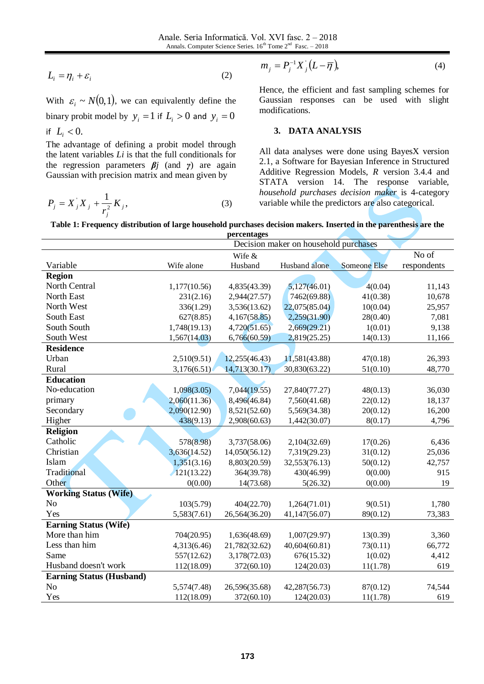$$
L_i = \eta_i + \varepsilon_i \tag{2}
$$

$$
P_j = X_j X_j + \frac{1}{r_j^2} K_j,
$$
 (3)

$$
m_j = P_j^{-1} X_j (L - \overline{\eta}), \tag{4}
$$

## **3. DATA ANALYSIS**

**Table 1: Frequency distribution of large household purchases decision makers. Inserted in the parenthesis are the percentages**

| $L_i = \eta_i + \varepsilon_i$                                                                                    |              | (2)           |                                                                                                          |              |             |  |  |
|-------------------------------------------------------------------------------------------------------------------|--------------|---------------|----------------------------------------------------------------------------------------------------------|--------------|-------------|--|--|
|                                                                                                                   |              |               |                                                                                                          |              |             |  |  |
| With $\varepsilon_i \sim N(0,1)$ , we can equivalently define the                                                 |              |               | Hence, the efficient and fast sampling schemes for<br>Gaussian responses can be used with slight         |              |             |  |  |
| modifications.<br>binary probit model by $y_i = 1$ if $L_i > 0$ and $y_i = 0$                                     |              |               |                                                                                                          |              |             |  |  |
| if $L_i < 0$ .                                                                                                    |              |               | <b>DATA ANALYSIS</b><br>3.                                                                               |              |             |  |  |
| The advantage of defining a probit model through                                                                  |              |               |                                                                                                          |              |             |  |  |
| the latent variables $Li$ is that the full conditionals for                                                       |              |               | All data analyses were done using BayesX version<br>2.1, a Software for Bayesian Inference in Structured |              |             |  |  |
| the regression parameters $\beta j$ (and $\gamma$ ) are again                                                     |              |               |                                                                                                          |              |             |  |  |
| Gaussian with precision matrix and mean given by                                                                  |              |               | Additive Regression Models, R version 3.4.4 and                                                          |              |             |  |  |
|                                                                                                                   |              |               | STATA version 14. The response variable,                                                                 |              |             |  |  |
|                                                                                                                   |              |               | household purchases decision maker is 4-category                                                         |              |             |  |  |
| $P_j = X_j^{\dagger} X_j + \frac{1}{r_i^2} K_j,$                                                                  |              | (3)           | variable while the predictors are also categorical.                                                      |              |             |  |  |
|                                                                                                                   |              |               |                                                                                                          |              |             |  |  |
| Table 1: Frequency distribution of large household purchases decision makers. Inserted in the parenthesis are the |              |               |                                                                                                          |              |             |  |  |
| percentages<br>Decision maker on household purchases                                                              |              |               |                                                                                                          |              |             |  |  |
|                                                                                                                   |              | Wife &        |                                                                                                          |              | No of       |  |  |
| Variable                                                                                                          | Wife alone   | Husband       | Husband alone                                                                                            | Someone Else | respondents |  |  |
| <b>Region</b>                                                                                                     |              |               |                                                                                                          |              |             |  |  |
| North Central                                                                                                     | 1,177(10.56) | 4,835(43.39)  | 5,127(46.01)                                                                                             | 4(0.04)      | 11,143      |  |  |
| North East                                                                                                        | 231(2.16)    | 2,944(27.57)  | 7462(69.88)                                                                                              | 41(0.38)     | 10,678      |  |  |
| North West                                                                                                        | 336(1.29)    | 3,536(13.62)  | 22,075(85.04)                                                                                            | 10(0.04)     | 25,957      |  |  |
| South East                                                                                                        | 627(8.85)    | 4,167(58.85)  | 2,259(31.90)                                                                                             | 28(0.40)     | 7,081       |  |  |
| South South                                                                                                       | 1,748(19.13) | 4,720(51.65)  | 2,669(29.21)                                                                                             | 1(0.01)      | 9,138       |  |  |
| South West                                                                                                        | 1,567(14.03) | 6,766(60.59)  | 2,819(25.25)                                                                                             | 14(0.13)     | 11,166      |  |  |
| <b>Residence</b>                                                                                                  |              |               |                                                                                                          |              |             |  |  |
| Urban                                                                                                             | 2,510(9.51)  | 12,255(46.43) | 11,581(43.88)                                                                                            | 47(0.18)     | 26,393      |  |  |
| Rural                                                                                                             | 3,176(6.51)  | 14,713(30.17) | 30,830(63.22)                                                                                            | 51(0.10)     | 48,770      |  |  |
| <b>Education</b>                                                                                                  |              |               |                                                                                                          |              |             |  |  |
| No-education                                                                                                      | 1,098(3.05)  | 7,044(19.55)  | 27,840(77.27)                                                                                            | 48(0.13)     | 36,030      |  |  |
| primary                                                                                                           | 2,060(11.36) | 8,496(46.84)  | 7,560(41.68)                                                                                             | 22(0.12)     | 18,137      |  |  |
| Secondary                                                                                                         | 2,090(12.90) | 8,521(52.60)  | 5,569(34.38)                                                                                             | 20(0.12)     | 16,200      |  |  |
| Higher                                                                                                            | 438(9.13)    | 2,908(60.63)  | 1,442(30.07)                                                                                             | 8(0.17)      | 4,796       |  |  |
| <b>Religion</b>                                                                                                   |              |               |                                                                                                          |              |             |  |  |
| Catholic                                                                                                          | 578(8.98)    | 3,737(58.06)  | 2,104(32.69)                                                                                             | 17(0.26)     | 6,436       |  |  |
| Christian                                                                                                         | 3,636(14.52) | 14,050(56.12) | 7,319(29.23)                                                                                             | 31(0.12)     | 25,036      |  |  |
| Islam                                                                                                             | 1,351(3.16)  | 8,803(20.59)  | 32,553(76.13)                                                                                            | 50(0.12)     | 42,757      |  |  |
| Traditional                                                                                                       | 121(13.22)   | 364(39.78)    | 430(46.99)                                                                                               | 0(0.00)      | 915         |  |  |
| Other                                                                                                             | 0(0.00)      | 14(73.68)     | 5(26.32)                                                                                                 | 0(0.00)      | 19          |  |  |
| <b>Working Status (Wife)</b>                                                                                      |              |               |                                                                                                          |              |             |  |  |
| No                                                                                                                | 103(5.79)    | 404(22.70)    | 1,264(71.01)                                                                                             | 9(0.51)      | 1,780       |  |  |
| Yes                                                                                                               | 5,583(7.61)  | 26,564(36.20) | 41,147(56.07)                                                                                            | 89(0.12)     | 73,383      |  |  |
| <b>Earning Status (Wife)</b>                                                                                      |              |               |                                                                                                          |              |             |  |  |
| More than him                                                                                                     | 704(20.95)   | 1,636(48.69)  | 1,007(29.97)                                                                                             | 13(0.39)     | 3,360       |  |  |
| Less than him                                                                                                     | 4,313(6.46)  | 21,782(32.62) | 40,604(60.81)                                                                                            | 73(0.11)     | 66,772      |  |  |
| Same                                                                                                              | 557(12.62)   | 3,178(72.03)  | 676(15.32)                                                                                               | 1(0.02)      | 4,412       |  |  |
| Husband doesn't work                                                                                              | 112(18.09)   | 372(60.10)    | 124(20.03)                                                                                               | 11(1.78)     | 619         |  |  |
| <b>Earning Status (Husband)</b>                                                                                   |              |               |                                                                                                          |              |             |  |  |
| N <sub>o</sub>                                                                                                    | 5,574(7.48)  | 26,596(35.68) | 42,287(56.73)                                                                                            | 87(0.12)     | 74,544      |  |  |
| Yes                                                                                                               | 112(18.09)   | 372(60.10)    | 124(20.03)                                                                                               | 11(1.78)     | 619         |  |  |
|                                                                                                                   |              |               |                                                                                                          |              |             |  |  |
|                                                                                                                   |              |               |                                                                                                          |              |             |  |  |
|                                                                                                                   |              |               |                                                                                                          |              |             |  |  |
|                                                                                                                   |              |               |                                                                                                          |              |             |  |  |
|                                                                                                                   |              |               |                                                                                                          |              |             |  |  |
|                                                                                                                   |              | 173           |                                                                                                          |              |             |  |  |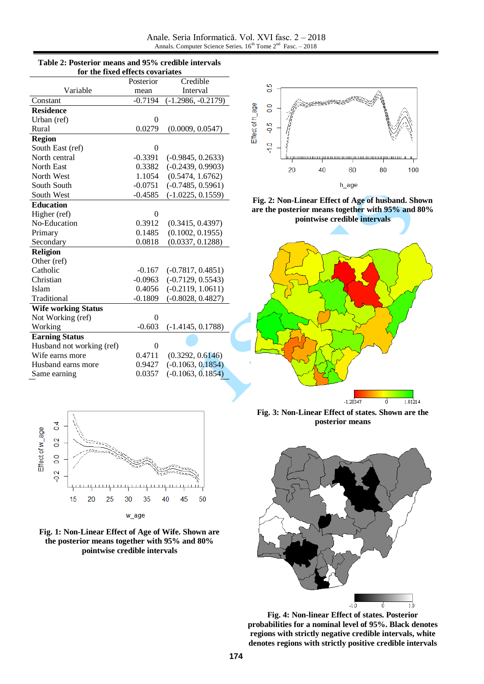Anale. Seria Informatică. Vol. XVI fasc. 2 – 2018 Annals. Computer Science Series.  $16^{th}$  Tome  $2^{nd}$  Fasc.  $-2018$ 

| for the fixed effects covariates |           |                      |  |  |  |
|----------------------------------|-----------|----------------------|--|--|--|
|                                  | Posterior | Credible             |  |  |  |
| Variable                         | mean      | Interval             |  |  |  |
| Constant                         | $-0.7194$ | $(-1.2986, -0.2179)$ |  |  |  |
| <b>Residence</b>                 |           |                      |  |  |  |
| Urban (ref)                      | $\theta$  |                      |  |  |  |
| Rural                            | 0.0279    | (0.0009, 0.0547)     |  |  |  |
| <b>Region</b>                    |           |                      |  |  |  |
| South East (ref)                 | 0         |                      |  |  |  |
| North central                    | $-0.3391$ | $(-0.9845, 0.2633)$  |  |  |  |
| North East                       | 0.3382    | $(-0.2439, 0.9903)$  |  |  |  |
| North West                       | 1.1054    | (0.5474, 1.6762)     |  |  |  |
| South South                      | $-0.0751$ | $(-0.7485, 0.5961)$  |  |  |  |
| South West                       | $-0.4585$ | $(-1.0225, 0.1559)$  |  |  |  |
| <b>Education</b>                 |           |                      |  |  |  |
| Higher (ref)                     | $\theta$  |                      |  |  |  |
| No-Education                     | 0.3912    | (0.3415, 0.4397)     |  |  |  |
| Primary                          | 0.1485    | (0.1002, 0.1955)     |  |  |  |
| Secondary                        | 0.0818    | (0.0337, 0.1288)     |  |  |  |
| Religion                         |           |                      |  |  |  |
| Other (ref)                      |           |                      |  |  |  |
| Catholic                         | $-0.167$  | $(-0.7817, 0.4851)$  |  |  |  |
| Christian                        | $-0.0963$ | $(-0.7129, 0.5543)$  |  |  |  |
| Islam                            | 0.4056    | $(-0.2119, 1.0611)$  |  |  |  |
| Traditional                      | $-0.1809$ | $(-0.8028, 0.4827)$  |  |  |  |
| <b>Wife working Status</b>       |           |                      |  |  |  |
| Not Working (ref)                | $\theta$  |                      |  |  |  |
| Working                          | $-0.603$  | $(-1.4145, 0.1788)$  |  |  |  |
| <b>Earning Status</b>            |           |                      |  |  |  |
| Husband not working (ref)        | $\theta$  |                      |  |  |  |
| Wife earns more                  | 0.4711    | (0.3292, 0.6146)     |  |  |  |
| Husband earns more               | 0.9427    | $(-0.1063, 0.1854)$  |  |  |  |
| Same earning                     | 0.0357    | $(-0.1063, 0.1854)$  |  |  |  |

**Table 2: Posterior means and 95% credible intervals** 



**Fig. 2: Non-Linear Effect of Age of husband. Shown are the posterior means together with 95% and 80% pointwise credible intervals**







**Fig. 3: Non-Linear Effect of states. Shown are the posterior means**



**Fig. 4: Non-linear Effect of states. Posterior probabilities for a nominal level of 95%. Black denotes regions with strictly negative credible intervals, white denotes regions with strictly positive credible intervals**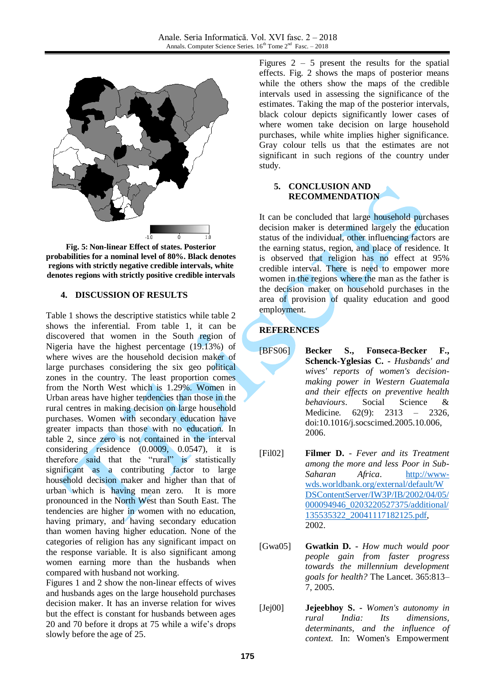

**Fig. 5: Non-linear Effect of states. Posterior probabilities for a nominal level of 80%. Black denotes regions with strictly negative credible intervals, white denotes regions with strictly positive credible intervals**

## **4. DISCUSSION OF RESULTS**

Table 1 shows the descriptive statistics while table 2 shows the inferential. From table 1, it can be discovered that women in the South region of Nigeria have the highest percentage (19.13%) of where wives are the household decision maker of large purchases considering the six geo political zones in the country. The least proportion comes from the North West which is 1.29%. Women in Urban areas have higher tendencies than those in the rural centres in making decision on large household purchases. Women with secondary education have greater impacts than those with no education. In table 2, since zero is not contained in the interval considering residence (0.0009, 0.0547), it is therefore said that the "rural" is statistically significant as a contributing factor to large household decision maker and higher than that of urban which is having mean zero. It is more pronounced in the North West than South East. The tendencies are higher in women with no education, having primary, and having secondary education than women having higher education. None of the categories of religion has any significant impact on the response variable. It is also significant among women earning more than the husbands when compared with husband not working.

Figures 1 and 2 show the non-linear effects of wives and husbands ages on the large household purchases decision maker. It has an inverse relation for wives but the effect is constant for husbands between ages 20 and 70 before it drops at 75 while a wife's drops slowly before the age of 25.

Figures  $2 - 5$  present the results for the spatial effects. Fig. 2 shows the maps of posterior means while the others show the maps of the credible intervals used in assessing the significance of the estimates. Taking the map of the posterior intervals, black colour depicts significantly lower cases of where women take decision on large household purchases, while white implies higher significance. Gray colour tells us that the estimates are not significant in such regions of the country under study.

# **5. CONCLUSION AND RECOMMENDATION**

It can be concluded that large household purchases decision maker is determined largely the education status of the individual, other influencing factors are the earning status, region, and place of residence. It is observed that religion has no effect at 95% credible interval. There is need to empower more women in the regions where the man as the father is the decision maker on household purchases in the area of provision of quality education and good employment.

# **REFERENCES**

- [BFS06] **Becker S., Fonseca-Becker F., Schenck-Yglesias C. -** *Husbands' and wives' reports of women's decisionmaking power in Western Guatemala and their effects on preventive health behaviours*. Social Science & Medicine. 62(9): 2313 – 2326, doi:10.1016/j.socscimed.2005.10.006, 2006.
- [Fil02] **Filmer D.** *Fever and its Treatment among the more and less Poor in Sub-Saharan Africa*. [http://www](http://www-wds.worldbank.org/external/default/WDSContentServer/IW3P/IB/2002/04/05/000094946_0203220527375/additional/135535322_20041117182125.pdf)[wds.worldbank.org/external/default/W](http://www-wds.worldbank.org/external/default/WDSContentServer/IW3P/IB/2002/04/05/000094946_0203220527375/additional/135535322_20041117182125.pdf) [DSContentServer/IW3P/IB/2002/04/05/](http://www-wds.worldbank.org/external/default/WDSContentServer/IW3P/IB/2002/04/05/000094946_0203220527375/additional/135535322_20041117182125.pdf) [000094946\\_0203220527375/additional/](http://www-wds.worldbank.org/external/default/WDSContentServer/IW3P/IB/2002/04/05/000094946_0203220527375/additional/135535322_20041117182125.pdf) [135535322\\_20041117182125.pdf,](http://www-wds.worldbank.org/external/default/WDSContentServer/IW3P/IB/2002/04/05/000094946_0203220527375/additional/135535322_20041117182125.pdf) 2002.
- [Gwa05] **Gwatkin D. -** *How much would poor people gain from faster progress towards the millennium development goals for health?* The Lancet. 365:813– 7, 2005.
- [Jej00] **Jejeebhoy S. -** *Women's autonomy in rural India: Its dimensions, determinants, and the influence of context.* In: Women's Empowerment